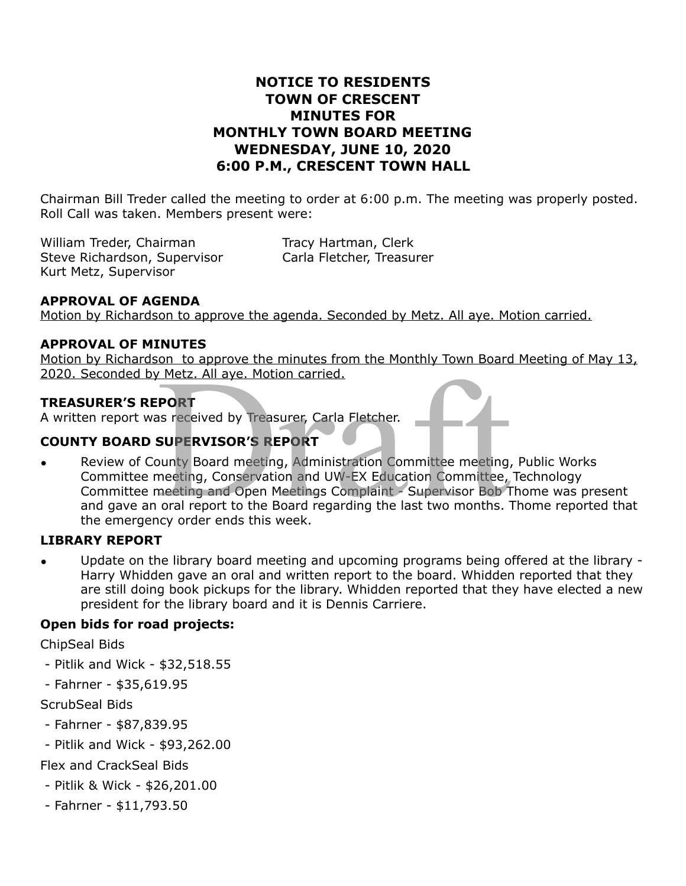# **NOTICE TO RESIDENTS TOWN OF CRESCENT MINUTES FOR MONTHLY TOWN BOARD MEETING WEDNESDAY, JUNE 10, 2020 6:00 P.M., CRESCENT TOWN HALL**

Chairman Bill Treder called the meeting to order at 6:00 p.m. The meeting was properly posted. Roll Call was taken. Members present were:

William Treder, Chairman Tracy Hartman, Clerk Steve Richardson, Supervisor Carla Fletcher, Treasurer Kurt Metz, Supervisor

## **APPROVAL OF AGENDA**

Motion by Richardson to approve the agenda. Seconded by Metz. All aye. Motion carried.

### **APPROVAL OF MINUTES**

Motion by Richardson to approve the minutes from the Monthly Town Board Meeting of May 13, 2020. Seconded by Metz. All aye. Motion carried.

### **TREASURER'S REPORT**

A written report was received by Treasurer, Carla Fletcher.

## **COUNTY BOARD SUPERVISOR'S REPORT**

• Review of County Board meeting, Administration Committee meeting, Public Works Committee meeting, Conservation and UW-EX Education Committee, Technology Committee meeting and Open Meetings Complaint - Supervisor Bob Thome was present and gave an oral report to the Board regarding the last two months. Thome reported that the emergency order ends this week. The Example of the Hinduis Hold in the Fioliday Jown Board<br>
PORT<br>
SUPERVISOR'S REPORT<br>
Dunty Board meeting, Administration Committee meeting<br>
meeting, Conservation and UW-EX Education Committee,<br>
meeting and Open Meetings

### **LIBRARY REPORT**

• Update on the library board meeting and upcoming programs being offered at the library - Harry Whidden gave an oral and written report to the board. Whidden reported that they are still doing book pickups for the library. Whidden reported that they have elected a new president for the library board and it is Dennis Carriere.

### **Open bids for road projects:**

ChipSeal Bids

- Pitlik and Wick \$32,518.55
- Fahrner \$35,619.95

ScrubSeal Bids

- Fahrner \$87,839.95
- Pitlik and Wick \$93,262.00

## Flex and CrackSeal Bids

- Pitlik & Wick \$26,201.00
- Fahrner \$11,793.50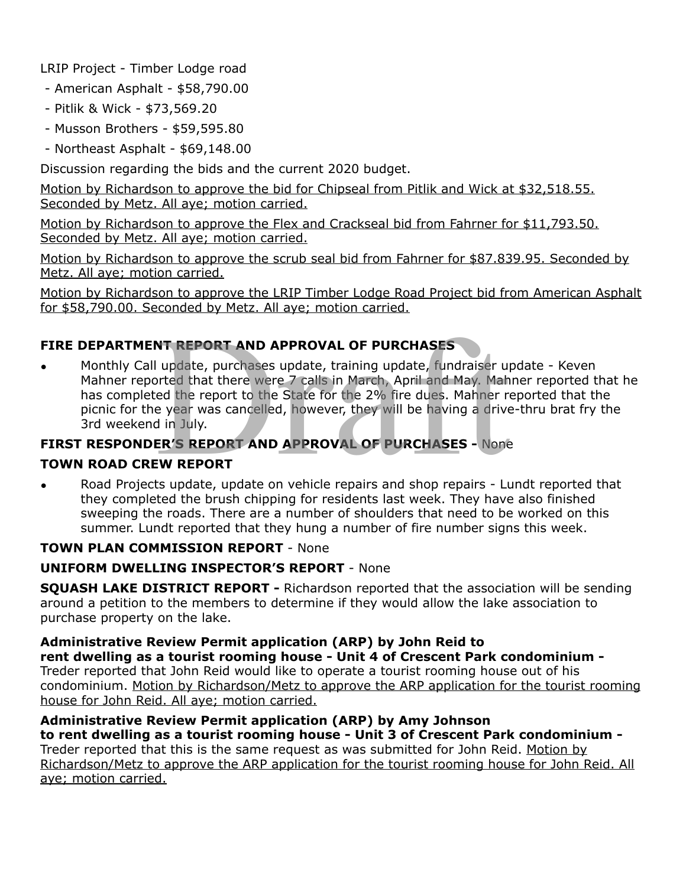LRIP Project - Timber Lodge road

- American Asphalt \$58,790.00
- Pitlik & Wick \$73,569.20
- Musson Brothers \$59,595.80
- Northeast Asphalt \$69,148.00

Discussion regarding the bids and the current 2020 budget.

Motion by Richardson to approve the bid for Chipseal from Pitlik and Wick at \$32,518.55. Seconded by Metz. All aye; motion carried.

Motion by Richardson to approve the Flex and Crackseal bid from Fahrner for \$11,793.50. Seconded by Metz. All aye; motion carried.

Motion by Richardson to approve the scrub seal bid from Fahrner for \$87.839.95. Seconded by Metz. All aye; motion carried.

Motion by Richardson to approve the LRIP Timber Lodge Road Project bid from American Asphalt for \$58,790.00. Seconded by Metz. All aye; motion carried.

# **FIRE DEPARTMENT REPORT AND APPROVAL OF PURCHASES**

• Monthly Call update, purchases update, training update, fundraiser update - Keven Mahner reported that there were 7 calls in March, April and May. Mahner reported that he has completed the report to the State for the 2% fire dues. Mahner reported that the picnic for the year was cancelled, however, they will be having a drive-thru brat fry the 3rd weekend in July. **NT REPORT AND APPROVAL OF PURCHASES**<br>
update, purchases update, training update, fundraiser up<br>
orted that there were 7 calls in March, April and May. Mah<br>
ed the report to the State for the 2% fire dues. Mahner r<br>
e year

# **FIRST RESPONDER'S REPORT AND APPROVAL OF PURCHASES -** None

# **TOWN ROAD CREW REPORT**

• Road Projects update, update on vehicle repairs and shop repairs - Lundt reported that they completed the brush chipping for residents last week. They have also finished sweeping the roads. There are a number of shoulders that need to be worked on this summer. Lundt reported that they hung a number of fire number signs this week.

## **TOWN PLAN COMMISSION REPORT** - None

## **UNIFORM DWELLING INSPECTOR'S REPORT** - None

**SQUASH LAKE DISTRICT REPORT -** Richardson reported that the association will be sending around a petition to the members to determine if they would allow the lake association to purchase property on the lake.

**Administrative Review Permit application (ARP) by John Reid to rent dwelling as a tourist rooming house - Unit 4 of Crescent Park condominium -**  Treder reported that John Reid would like to operate a tourist rooming house out of his

condominium. Motion by Richardson/Metz to approve the ARP application for the tourist rooming house for John Reid. All aye; motion carried.

# **Administrative Review Permit application (ARP) by Amy Johnson**

**to rent dwelling as a tourist rooming house - Unit 3 of Crescent Park condominium -**  Treder reported that this is the same request as was submitted for John Reid. Motion by Richardson/Metz to approve the ARP application for the tourist rooming house for John Reid. All aye; motion carried.